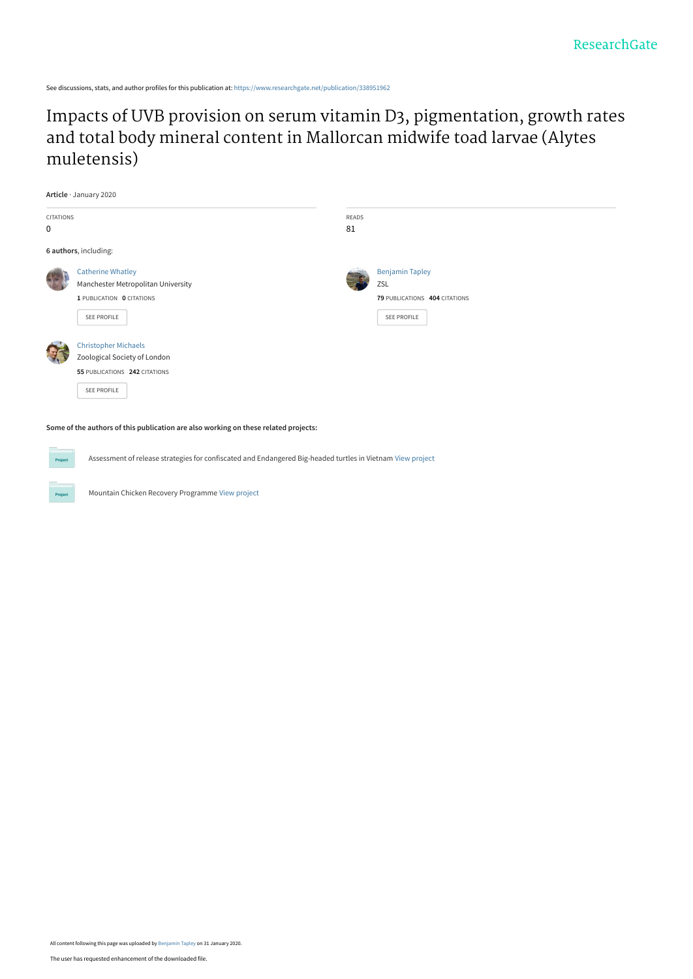See discussions, stats, and author profiles for this publication at: [https://www.researchgate.net/publication/338951962](https://www.researchgate.net/publication/338951962_Impacts_of_UVB_provision_on_serum_vitamin_D3_pigmentation_growth_rates_and_total_body_mineral_content_in_Mallorcan_midwife_toad_larvae_Alytes_muletensis?enrichId=rgreq-dac8643e95ac34c7aae5b763d4c62ec8-XXX&enrichSource=Y292ZXJQYWdlOzMzODk1MTk2MjtBUzo4NTM0NDcwMjA2NjI3ODlAMTU4MDQ4OTAzNDkxOA%3D%3D&el=1_x_2&_esc=publicationCoverPdf)

[Impacts of UVB provision on serum vitamin D3, pigmentation, growth rates](https://www.researchgate.net/publication/338951962_Impacts_of_UVB_provision_on_serum_vitamin_D3_pigmentation_growth_rates_and_total_body_mineral_content_in_Mallorcan_midwife_toad_larvae_Alytes_muletensis?enrichId=rgreq-dac8643e95ac34c7aae5b763d4c62ec8-XXX&enrichSource=Y292ZXJQYWdlOzMzODk1MTk2MjtBUzo4NTM0NDcwMjA2NjI3ODlAMTU4MDQ4OTAzNDkxOA%3D%3D&el=1_x_3&_esc=publicationCoverPdf) and total body mineral content in Mallorcan midwife toad larvae (Alytes muletensis)

|                  | Article · January 2020             |       |                               |
|------------------|------------------------------------|-------|-------------------------------|
| <b>CITATIONS</b> |                                    | READS |                               |
| 0                |                                    | 81    |                               |
|                  | 6 authors, including:              |       |                               |
| 33               | <b>Catherine Whatley</b>           |       | <b>Benjamin Tapley</b>        |
|                  | Manchester Metropolitan University |       | ZSL                           |
|                  | 1 PUBLICATION 0 CITATIONS          |       | 79 PUBLICATIONS 404 CITATIONS |
|                  | SEE PROFILE                        |       | SEE PROFILE                   |
| Q                | <b>Christopher Michaels</b>        |       |                               |
|                  | Zoological Society of London       |       |                               |
|                  | 55 PUBLICATIONS 242 CITATIONS      |       |                               |
|                  | SEE PROFILE                        |       |                               |

**Some of the authors of this publication are also working on these related projects:**

Assessment of release strategies for confiscated and Endangered Big-headed turtles in Vietnam [View project](https://www.researchgate.net/project/Assessment-of-release-strategies-for-confiscated-and-Endangered-Big-headed-turtles-in-Vietnam?enrichId=rgreq-dac8643e95ac34c7aae5b763d4c62ec8-XXX&enrichSource=Y292ZXJQYWdlOzMzODk1MTk2MjtBUzo4NTM0NDcwMjA2NjI3ODlAMTU4MDQ4OTAzNDkxOA%3D%3D&el=1_x_9&_esc=publicationCoverPdf)

Mountain Chicken Recovery Programme [View project](https://www.researchgate.net/project/Mountain-Chicken-Recovery-Programme?enrichId=rgreq-dac8643e95ac34c7aae5b763d4c62ec8-XXX&enrichSource=Y292ZXJQYWdlOzMzODk1MTk2MjtBUzo4NTM0NDcwMjA2NjI3ODlAMTU4MDQ4OTAzNDkxOA%3D%3D&el=1_x_9&_esc=publicationCoverPdf)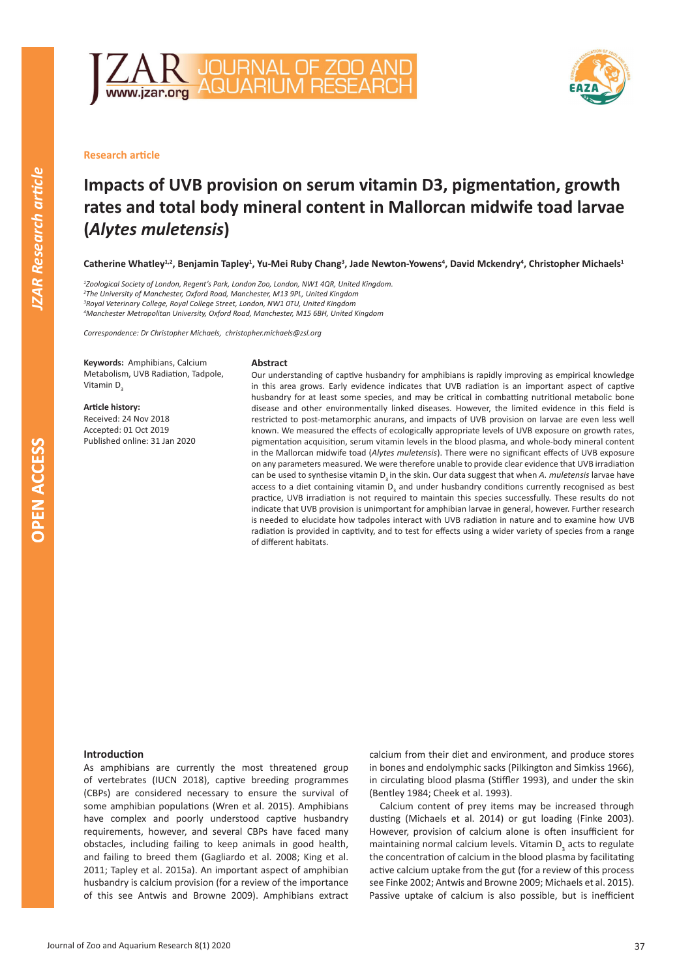



# **Research article**

# **Impacts of UVB provision on serum vitamin D3, pigmentation, growth rates and total body mineral content in Mallorcan midwife toad larvae (***Alytes muletensis***)**

Catherine Whatley<sup>1,2</sup>, Benjamin Tapley<sup>1</sup>, Yu-Mei Ruby Chang<sup>3</sup>, Jade Newton-Yowens<sup>4</sup>, David Mckendry<sup>4</sup>, Christopher Michaels<sup>1</sup>

 *Zoological Society of London, Regent's Park, London Zoo, London, NW1 4QR, United Kingdom. The University of Manchester, Oxford Road, Manchester, M13 9PL, United Kingdom Royal Veterinary College, Royal College Street, London, NW1 0TU, United Kingdom Manchester Metropolitan University, Oxford Road, Manchester, M15 6BH, United Kingdom*

*Correspondence: Dr Christopher Michaels, christopher.michaels@zsl.org*

**Keywords:** Amphibians, Calcium Metabolism, UVB Radiation, Tadpole, Vitamin D<sub>3</sub>

**Article history:** Received: 24 Nov 2018 Accepted: 01 Oct 2019 Published online: 31 Jan 2020

#### **Abstract**

Our understanding of captive husbandry for amphibians is rapidly improving as empirical knowledge in this area grows. Early evidence indicates that UVB radiation is an important aspect of captive husbandry for at least some species, and may be critical in combatting nutritional metabolic bone disease and other environmentally linked diseases. However, the limited evidence in this field is restricted to post-metamorphic anurans, and impacts of UVB provision on larvae are even less well known. We measured the effects of ecologically appropriate levels of UVB exposure on growth rates, pigmentation acquisition, serum vitamin levels in the blood plasma, and whole-body mineral content in the Mallorcan midwife toad (*Alytes muletensis*). There were no significant effects of UVB exposure on any parameters measured. We were therefore unable to provide clear evidence that UVB irradiation can be used to synthesise vitamin D<sub>3</sub> in the skin. Our data suggest that when *A. muletensis* larvae have access to a diet containing vitamin  $D_3$  and under husbandry conditions currently recognised as best practice, UVB irradiation is not required to maintain this species successfully. These results do not indicate that UVB provision is unimportant for amphibian larvae in general, however. Further research is needed to elucidate how tadpoles interact with UVB radiation in nature and to examine how UVB radiation is provided in captivity, and to test for effects using a wider variety of species from a range of different habitats.

### **Introduction**

As amphibians are currently the most threatened group of vertebrates (IUCN 2018), captive breeding programmes (CBPs) are considered necessary to ensure the survival of some amphibian populations (Wren et al. 2015). Amphibians have complex and poorly understood captive husbandry requirements, however, and several CBPs have faced many obstacles, including failing to keep animals in good health, and failing to breed them (Gagliardo et al. 2008; King et al. 2011; Tapley et al. 2015a). An important aspect of amphibian husbandry is calcium provision (for a review of the importance of this see Antwis and Browne 2009). Amphibians extract calcium from their diet and environment, and produce stores in bones and endolymphic sacks (Pilkington and Simkiss 1966), in circulating blood plasma (Stiffler 1993), and under the skin (Bentley 1984; Cheek et al. 1993).

Calcium content of prey items may be increased through dusting (Michaels et al. 2014) or gut loading (Finke 2003). However, provision of calcium alone is often insufficient for maintaining normal calcium levels. Vitamin  $D_3$  acts to regulate the concentration of calcium in the blood plasma by facilitating active calcium uptake from the gut (for a review of this process see Finke 2002; Antwis and Browne 2009; Michaels et al. 2015). Passive uptake of calcium is also possible, but is inefficient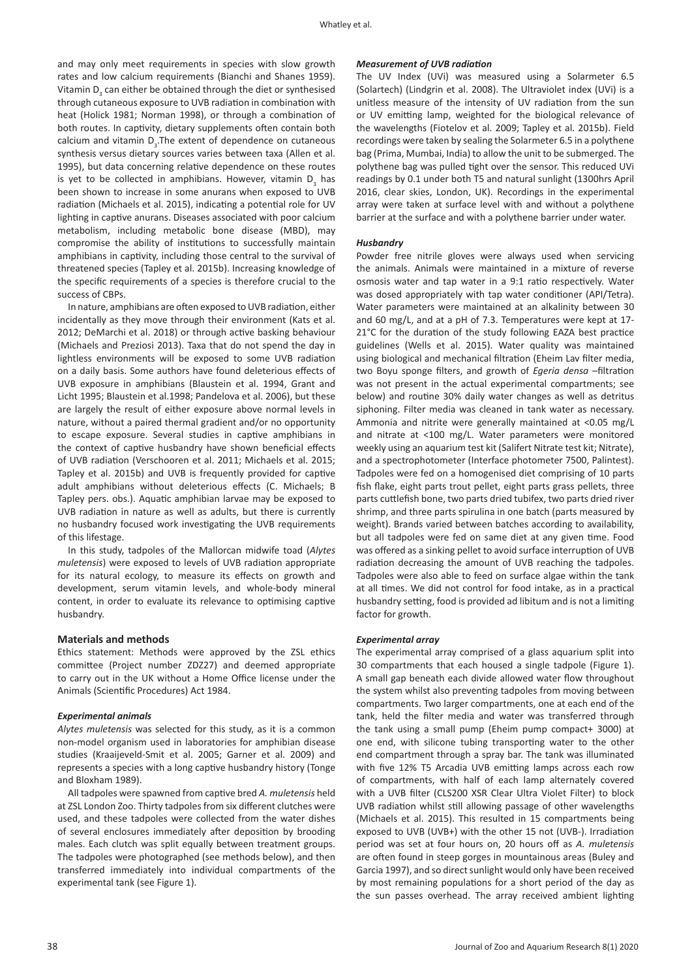and may only meet requirements in species with slow growth rates and low calcium requirements (Bianchi and Shanes 1959). Vitamin  $D_3$  can either be obtained through the diet or synthesised through cutaneous exposure to UVB radiation in combination with heat (Holick 1981; Norman 1998), or through a combination of both routes. In captivity, dietary supplements often contain both calcium and vitamin  $D_3$ . The extent of dependence on cutaneous synthesis versus dietary sources varies between taxa (Allen et al. 1995), but data concerning relative dependence on these routes is yet to be collected in amphibians. However, vitamin  $D_3$  has been shown to increase in some anurans when exposed to UVB radiation (Michaels et al. 2015), indicating a potential role for UV lighting in captive anurans. Diseases associated with poor calcium metabolism, including metabolic bone disease (MBD), may compromise the ability of institutions to successfully maintain amphibians in captivity, including those central to the survival of threatened species (Tapley et al. 2015b). Increasing knowledge of the specific requirements of a species is therefore crucial to the success of CBPs.

In nature, amphibians are often exposed to UVB radiation, either incidentally as they move through their environment (Kats et al. 2012; DeMarchi et al. 2018) or through active basking behaviour (Michaels and Preziosi 2013). Taxa that do not spend the day in lightless environments will be exposed to some UVB radiation on a daily basis. Some authors have found deleterious effects of UVB exposure in amphibians (Blaustein et al. 1994, Grant and Licht 1995; Blaustein et al.1998; Pandelova et al. 2006), but these are largely the result of either exposure above normal levels in nature, without a paired thermal gradient and/or no opportunity to escape exposure. Several studies in captive amphibians in the context of captive husbandry have shown beneficial effects of UVB radiation (Verschooren et al. 2011; Michaels et al. 2015; Tapley et al. 2015b) and UVB is frequently provided for captive adult amphibians without deleterious effects (C. Michaels; B Tapley pers. obs.). Aquatic amphibian larvae may be exposed to UVB radiation in nature as well as adults, but there is currently no husbandry focused work investigating the UVB requirements of this lifestage.

In this study, tadpoles of the Mallorcan midwife toad (*Alytes muletensis*) were exposed to levels of UVB radiation appropriate for its natural ecology, to measure its effects on growth and development, serum vitamin levels, and whole-body mineral content, in order to evaluate its relevance to optimising captive husbandry.

## **Materials and methods**

Ethics statement: Methods were approved by the ZSL ethics committee (Project number ZDZ27) and deemed appropriate to carry out in the UK without a Home Office license under the Animals (Scientific Procedures) Act 1984.

### *Experimental animals*

*Alytes muletensis* was selected for this study, as it is a common non-model organism used in laboratories for amphibian disease studies (Kraaijeveld-Smit et al. 2005; Garner et al. 2009) and represents a species with a long captive husbandry history (Tonge and Bloxham 1989).

All tadpoles were spawned from captive bred *A. muletensis* held at ZSL London Zoo. Thirty tadpoles from six different clutches were used, and these tadpoles were collected from the water dishes of several enclosures immediately after deposition by brooding males. Each clutch was split equally between treatment groups. The tadpoles were photographed (see methods below), and then transferred immediately into individual compartments of the experimental tank (see Figure 1).

### *Measurement of UVB radiation*

The UV Index (UVi) was measured using a Solarmeter 6.5 (Solartech) (Lindgrin et al. 2008). The Ultraviolet index (UVi) is a unitless measure of the intensity of UV radiation from the sun or UV emitting lamp, weighted for the biological relevance of the wavelengths (Fiotelov et al. 2009; Tapley et al. 2015b). Field recordings were taken by sealing the Solarmeter 6.5 in a polythene bag (Prima, Mumbai, India) to allow the unit to be submerged. The polythene bag was pulled tight over the sensor. This reduced UVi readings by 0.1 under both T5 and natural sunlight (1300hrs April 2016, clear skies, London, UK). Recordings in the experimental array were taken at surface level with and without a polythene barrier at the surface and with a polythene barrier under water.

### *Husbandry*

Powder free nitrile gloves were always used when servicing the animals. Animals were maintained in a mixture of reverse osmosis water and tap water in a 9:1 ratio respectively. Water was dosed appropriately with tap water conditioner (API/Tetra). Water parameters were maintained at an alkalinity between 30 and 60 mg/L, and at a pH of 7.3. Temperatures were kept at 17- 21°C for the duration of the study following EAZA best practice guidelines (Wells et al. 2015). Water quality was maintained using biological and mechanical filtration (Eheim Lav filter media, two Boyu sponge filters, and growth of *Egeria densa* –filtration was not present in the actual experimental compartments; see below) and routine 30% daily water changes as well as detritus siphoning. Filter media was cleaned in tank water as necessary. Ammonia and nitrite were generally maintained at <0.05 mg/L and nitrate at <100 mg/L. Water parameters were monitored weekly using an aquarium test kit (Salifert Nitrate test kit; Nitrate), and a spectrophotometer (Interface photometer 7500, Palintest). Tadpoles were fed on a homogenised diet comprising of 10 parts fish flake, eight parts trout pellet, eight parts grass pellets, three parts cuttlefish bone, two parts dried tubifex, two parts dried river shrimp, and three parts spirulina in one batch (parts measured by weight). Brands varied between batches according to availability, but all tadpoles were fed on same diet at any given time. Food was offered as a sinking pellet to avoid surface interruption of UVB radiation decreasing the amount of UVB reaching the tadpoles. Tadpoles were also able to feed on surface algae within the tank at all times. We did not control for food intake, as in a practical husbandry setting, food is provided ad libitum and is not a limiting factor for growth.

### *Experimental array*

The experimental array comprised of a glass aquarium split into 30 compartments that each housed a single tadpole (Figure 1). A small gap beneath each divide allowed water flow throughout the system whilst also preventing tadpoles from moving between compartments. Two larger compartments, one at each end of the tank, held the filter media and water was transferred through the tank using a small pump (Eheim pump compact+ 3000) at one end, with silicone tubing transporting water to the other end compartment through a spray bar. The tank was illuminated with five 12% T5 Arcadia UVB emitting lamps across each row of compartments, with half of each lamp alternately covered with a UVB filter (CLS200 XSR Clear Ultra Violet Filter) to block UVB radiation whilst still allowing passage of other wavelengths (Michaels et al. 2015). This resulted in 15 compartments being exposed to UVB (UVB+) with the other 15 not (UVB-). Irradiation period was set at four hours on, 20 hours off as *A. muletensis*  are often found in steep gorges in mountainous areas (Buley and Garcia 1997), and so direct sunlight would only have been received by most remaining populations for a short period of the day as the sun passes overhead. The array received ambient lighting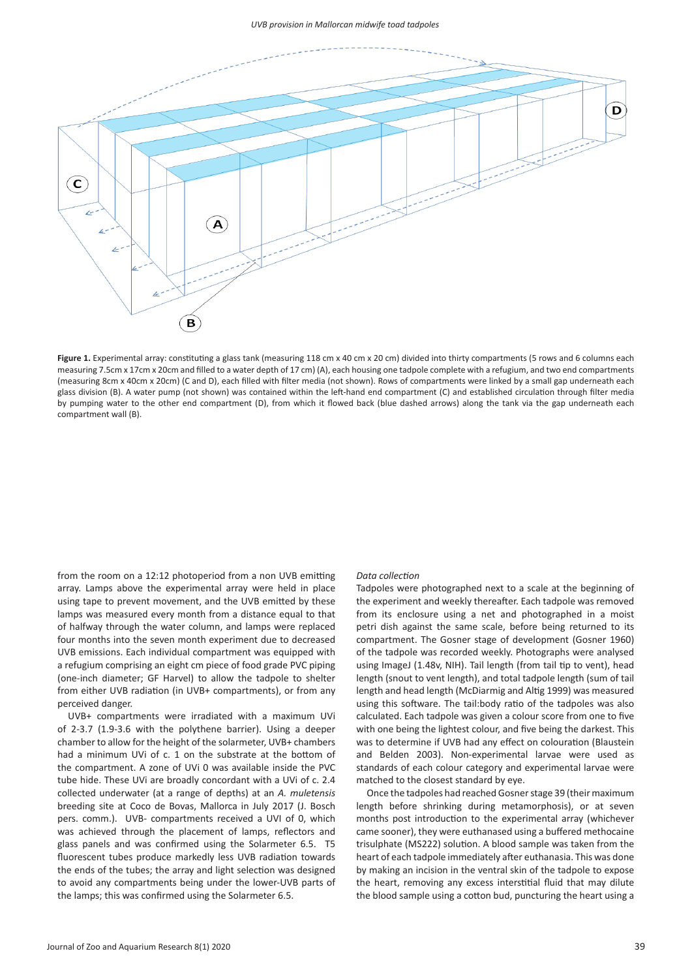

**Figure 1.** Experimental array: constituting a glass tank (measuring 118 cm x 40 cm x 20 cm) divided into thirty compartments (5 rows and 6 columns each measuring 7.5cm x 17cm x 20cm and filled to a water depth of 17 cm) (A), each housing one tadpole complete with a refugium, and two end compartments (measuring 8cm x 40cm x 20cm) (C and D), each filled with filter media (not shown). Rows of compartments were linked by a small gap underneath each glass division (B). A water pump (not shown) was contained within the left-hand end compartment (C) and established circulation through filter media by pumping water to the other end compartment (D), from which it flowed back (blue dashed arrows) along the tank via the gap underneath each compartment wall (B).

from the room on a 12:12 photoperiod from a non UVB emitting array. Lamps above the experimental array were held in place using tape to prevent movement, and the UVB emitted by these lamps was measured every month from a distance equal to that of halfway through the water column, and lamps were replaced four months into the seven month experiment due to decreased UVB emissions. Each individual compartment was equipped with a refugium comprising an eight cm piece of food grade PVC piping (one-inch diameter; GF Harvel) to allow the tadpole to shelter from either UVB radiation (in UVB+ compartments), or from any perceived danger.

UVB+ compartments were irradiated with a maximum UVi of 2-3.7 (1.9-3.6 with the polythene barrier). Using a deeper chamber to allow for the height of the solarmeter, UVB+ chambers had a minimum UVi of c. 1 on the substrate at the bottom of the compartment. A zone of UVi 0 was available inside the PVC tube hide. These UVi are broadly concordant with a UVi of c. 2.4 collected underwater (at a range of depths) at an *A. muletensis*  breeding site at Coco de Bovas, Mallorca in July 2017 (J. Bosch pers. comm.). UVB- compartments received a UVI of 0, which was achieved through the placement of lamps, reflectors and glass panels and was confirmed using the Solarmeter 6.5. T5 fluorescent tubes produce markedly less UVB radiation towards the ends of the tubes; the array and light selection was designed to avoid any compartments being under the lower-UVB parts of the lamps; this was confirmed using the Solarmeter 6.5.

### *Data collection*

Tadpoles were photographed next to a scale at the beginning of the experiment and weekly thereafter. Each tadpole was removed from its enclosure using a net and photographed in a moist petri dish against the same scale, before being returned to its compartment. The Gosner stage of development (Gosner 1960) of the tadpole was recorded weekly. Photographs were analysed using ImageJ (1.48v, NIH). Tail length (from tail tip to vent), head length (snout to vent length), and total tadpole length (sum of tail length and head length (McDiarmig and Altig 1999) was measured using this software. The tail:body ratio of the tadpoles was also calculated. Each tadpole was given a colour score from one to five with one being the lightest colour, and five being the darkest. This was to determine if UVB had any effect on colouration (Blaustein and Belden 2003). Non-experimental larvae were used as standards of each colour category and experimental larvae were matched to the closest standard by eye.

Once the tadpoles had reached Gosner stage 39 (their maximum length before shrinking during metamorphosis), or at seven months post introduction to the experimental array (whichever came sooner), they were euthanased using a buffered methocaine trisulphate (MS222) solution. A blood sample was taken from the heart of each tadpole immediately after euthanasia. This was done by making an incision in the ventral skin of the tadpole to expose the heart, removing any excess interstitial fluid that may dilute the blood sample using a cotton bud, puncturing the heart using a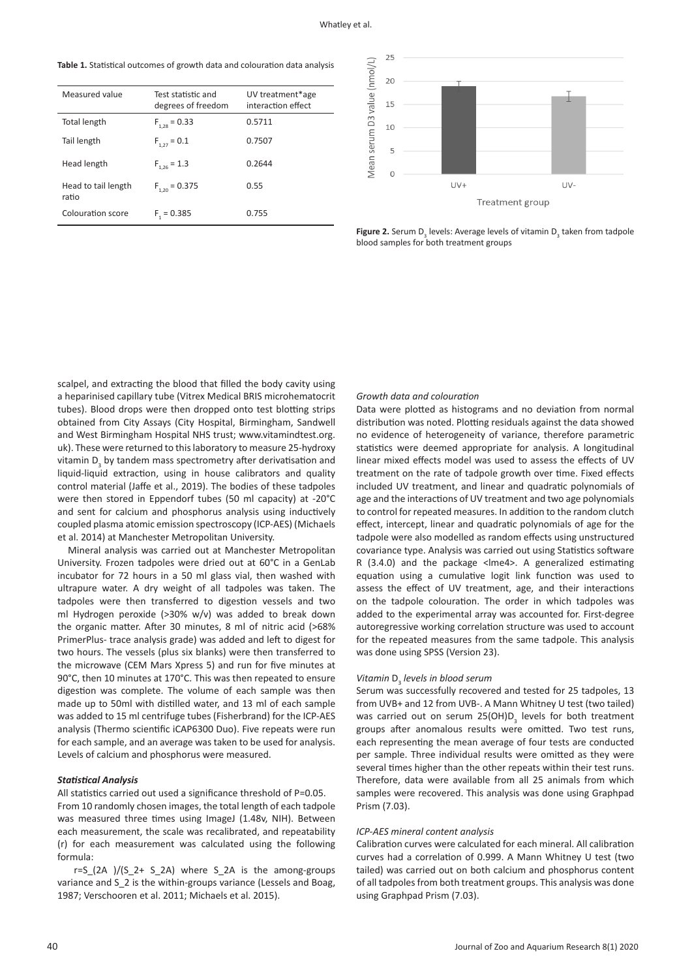**Table 1.** Statistical outcomes of growth data and colouration data analysis

| Measured value               | Test statistic and<br>degrees of freedom | UV treatment*age<br>interaction effect |
|------------------------------|------------------------------------------|----------------------------------------|
| Total length                 | $F_{1.28} = 0.33$                        | 0.5711                                 |
| Tail length                  | $F_{1,27} = 0.1$                         | 0.7507                                 |
| Head length                  | $F_{1.26} = 1.3$                         | 0.2644                                 |
| Head to tail length<br>ratio | $F_{1,20} = 0.375$                       | 0.55                                   |
| Colouration score            | $F1 = 0.385$                             | 0.755                                  |



**Figure 2.** Serum  $D_3$  levels: Average levels of vitamin  $D_3$  taken from tadpole blood samples for both treatment groups

scalpel, and extracting the blood that filled the body cavity using a heparinised capillary tube (Vitrex Medical BRIS microhematocrit tubes). Blood drops were then dropped onto test blotting strips obtained from City Assays (City Hospital, Birmingham, Sandwell and West Birmingham Hospital NHS trust; www.vitamindtest.org. uk). These were returned to this laboratory to measure 25-hydroxy vitamin  $D_3$  by tandem mass spectrometry after derivatisation and liquid-liquid extraction, using in house calibrators and quality control material (Jaffe et al., 2019). The bodies of these tadpoles were then stored in Eppendorf tubes (50 ml capacity) at -20°C and sent for calcium and phosphorus analysis using inductively coupled plasma atomic emission spectroscopy (ICP-AES) (Michaels et al. 2014) at Manchester Metropolitan University.

Mineral analysis was carried out at Manchester Metropolitan University. Frozen tadpoles were dried out at 60°C in a GenLab incubator for 72 hours in a 50 ml glass vial, then washed with ultrapure water. A dry weight of all tadpoles was taken. The tadpoles were then transferred to digestion vessels and two ml Hydrogen peroxide (>30% w/v) was added to break down the organic matter. After 30 minutes, 8 ml of nitric acid (>68% PrimerPlus- trace analysis grade) was added and left to digest for two hours. The vessels (plus six blanks) were then transferred to the microwave (CEM Mars Xpress 5) and run for five minutes at 90°C, then 10 minutes at 170°C. This was then repeated to ensure digestion was complete. The volume of each sample was then made up to 50ml with distilled water, and 13 ml of each sample was added to 15 ml centrifuge tubes (Fisherbrand) for the ICP-AES analysis (Thermo scientific iCAP6300 Duo). Five repeats were run for each sample, and an average was taken to be used for analysis. Levels of calcium and phosphorus were measured.

# *Statistical Analysis*

All statistics carried out used a significance threshold of P=0.05. From 10 randomly chosen images, the total length of each tadpole was measured three times using ImageJ (1.48v, NIH). Between each measurement, the scale was recalibrated, and repeatability (r) for each measurement was calculated using the following formula:

r=S (2A )/(S  $2+$  S 2A) where S 2A is the among-groups variance and S\_2 is the within-groups variance (Lessels and Boag, 1987; Verschooren et al. 2011; Michaels et al. 2015).

### *Growth data and colouration*

Data were plotted as histograms and no deviation from normal distribution was noted. Plotting residuals against the data showed no evidence of heterogeneity of variance, therefore parametric statistics were deemed appropriate for analysis. A longitudinal linear mixed effects model was used to assess the effects of UV treatment on the rate of tadpole growth over time. Fixed effects included UV treatment, and linear and quadratic polynomials of age and the interactions of UV treatment and two age polynomials to control for repeated measures. In addition to the random clutch effect, intercept, linear and quadratic polynomials of age for the tadpole were also modelled as random effects using unstructured covariance type. Analysis was carried out using Statistics software R (3.4.0) and the package <lme4>. A generalized estimating equation using a cumulative logit link function was used to assess the effect of UV treatment, age, and their interactions on the tadpole colouration. The order in which tadpoles was added to the experimental array was accounted for. First-degree autoregressive working correlation structure was used to account for the repeated measures from the same tadpole. This analysis was done using SPSS (Version 23).

# **Vitamin D**<sub>3</sub> levels in blood serum

Serum was successfully recovered and tested for 25 tadpoles, 13 from UVB+ and 12 from UVB-. A Mann Whitney U test (two tailed) was carried out on serum 25(OH) $D_3$  levels for both treatment groups after anomalous results were omitted. Two test runs, each representing the mean average of four tests are conducted per sample. Three individual results were omitted as they were several times higher than the other repeats within their test runs. Therefore, data were available from all 25 animals from which samples were recovered. This analysis was done using Graphpad Prism (7.03).

# *ICP-AES mineral content analysis*

Calibration curves were calculated for each mineral. All calibration curves had a correlation of 0.999. A Mann Whitney U test (two tailed) was carried out on both calcium and phosphorus content of all tadpoles from both treatment groups. This analysis was done using Graphpad Prism (7.03).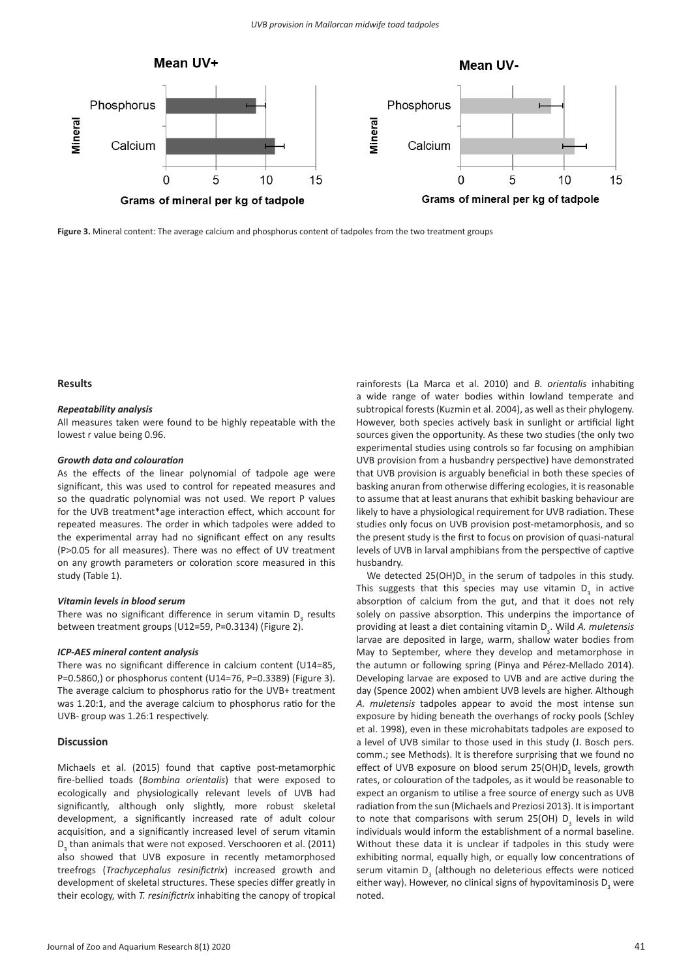

**Figure 3.** Mineral content: The average calcium and phosphorus content of tadpoles from the two treatment groups

### **Results**

### *Repeatability analysis*

All measures taken were found to be highly repeatable with the lowest r value being 0.96.

### *Growth data and colouration*

As the effects of the linear polynomial of tadpole age were significant, this was used to control for repeated measures and so the quadratic polynomial was not used. We report P values for the UVB treatment\*age interaction effect, which account for repeated measures. The order in which tadpoles were added to the experimental array had no significant effect on any results (P>0.05 for all measures). There was no effect of UV treatment on any growth parameters or coloration score measured in this study (Table 1).

### *Vitamin levels in blood serum*

There was no significant difference in serum vitamin  $D_3$  results between treatment groups (U12=59, P=0.3134) (Figure 2).

## *ICP-AES mineral content analysis*

There was no significant difference in calcium content (U14=85, P=0.5860,) or phosphorus content (U14=76, P=0.3389) (Figure 3). The average calcium to phosphorus ratio for the UVB+ treatment was 1.20:1, and the average calcium to phosphorus ratio for the UVB- group was 1.26:1 respectively.

# **Discussion**

Michaels et al. (2015) found that captive post-metamorphic fire-bellied toads (*Bombina orientalis*) that were exposed to ecologically and physiologically relevant levels of UVB had significantly, although only slightly, more robust skeletal development, a significantly increased rate of adult colour acquisition, and a significantly increased level of serum vitamin  $D_3$  than animals that were not exposed. Verschooren et al. (2011) also showed that UVB exposure in recently metamorphosed treefrogs (*Trachycephalus resinifictrix*) increased growth and development of skeletal structures. These species differ greatly in their ecology, with *T. resinifictrix* inhabiting the canopy of tropical

rainforests (La Marca et al. 2010) and *B. orientalis* inhabiting a wide range of water bodies within lowland temperate and subtropical forests (Kuzmin et al. 2004), as well as their phylogeny. However, both species actively bask in sunlight or artificial light sources given the opportunity. As these two studies (the only two experimental studies using controls so far focusing on amphibian UVB provision from a husbandry perspective) have demonstrated that UVB provision is arguably beneficial in both these species of basking anuran from otherwise differing ecologies, it is reasonable to assume that at least anurans that exhibit basking behaviour are likely to have a physiological requirement for UVB radiation. These studies only focus on UVB provision post-metamorphosis, and so the present study is the first to focus on provision of quasi-natural levels of UVB in larval amphibians from the perspective of captive husbandry.

We detected  $25(OH)D<sub>3</sub>$  in the serum of tadpoles in this study. This suggests that this species may use vitamin  $D_3$  in active absorption of calcium from the gut, and that it does not rely solely on passive absorption. This underpins the importance of providing at least a diet containing vitamin D<sub>3</sub>. Wild A. muletensis larvae are deposited in large, warm, shallow water bodies from May to September, where they develop and metamorphose in the autumn or following spring (Pinya and Pérez-Mellado 2014). Developing larvae are exposed to UVB and are active during the day (Spence 2002) when ambient UVB levels are higher. Although *A. muletensis* tadpoles appear to avoid the most intense sun exposure by hiding beneath the overhangs of rocky pools (Schley et al. 1998), even in these microhabitats tadpoles are exposed to a level of UVB similar to those used in this study (J. Bosch pers. comm.; see Methods). It is therefore surprising that we found no effect of UVB exposure on blood serum 25(OH)D<sub>3</sub> levels, growth rates, or colouration of the tadpoles, as it would be reasonable to expect an organism to utilise a free source of energy such as UVB radiation from the sun (Michaels and Preziosi 2013). It is important to note that comparisons with serum 25(OH)  $D_3$  levels in wild individuals would inform the establishment of a normal baseline. Without these data it is unclear if tadpoles in this study were exhibiting normal, equally high, or equally low concentrations of serum vitamin  $D_3$  (although no deleterious effects were noticed either way). However, no clinical signs of hypovitaminosis  $D_3$  were noted.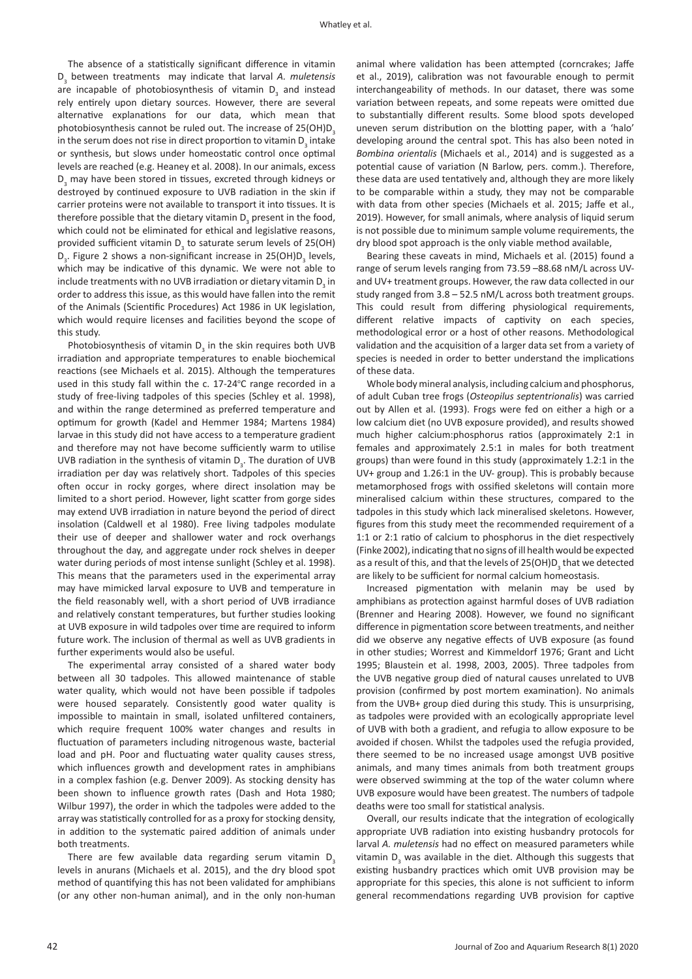The absence of a statistically significant difference in vitamin D<sub>3</sub> between treatments may indicate that larval *A. muletensis* are incapable of photobiosynthesis of vitamin  $D_3$  and instead rely entirely upon dietary sources. However, there are several alternative explanations for our data, which mean that photobiosynthesis cannot be ruled out. The increase of 25(OH)D<sub>2</sub> in the serum does not rise in direct proportion to vitamin  $D_3$  intake or synthesis, but slows under homeostatic control once optimal levels are reached (e.g. Heaney et al. 2008). In our animals, excess  $D_3$  may have been stored in tissues, excreted through kidneys or destroyed by continued exposure to UVB radiation in the skin if carrier proteins were not available to transport it into tissues. It is therefore possible that the dietary vitamin  $D_{\frac{3}{2}}$  present in the food, which could not be eliminated for ethical and legislative reasons, provided sufficient vitamin  $D_3$  to saturate serum levels of 25(OH)  $D_3$ . Figure 2 shows a non-significant increase in 25(OH) $D_3$  levels, which may be indicative of this dynamic. We were not able to include treatments with no UVB irradiation or dietary vitamin  $\mathsf{D}_{_{\!3}}$  in order to address this issue, as this would have fallen into the remit of the Animals (Scientific Procedures) Act 1986 in UK legislation, which would require licenses and facilities beyond the scope of this study.

Photobiosynthesis of vitamin  $D_3$  in the skin requires both UVB irradiation and appropriate temperatures to enable biochemical reactions (see Michaels et al. 2015). Although the temperatures used in this study fall within the c. 17-24°C range recorded in a study of free-living tadpoles of this species (Schley et al. 1998), and within the range determined as preferred temperature and optimum for growth (Kadel and Hemmer 1984; Martens 1984) larvae in this study did not have access to a temperature gradient and therefore may not have become sufficiently warm to utilise UVB radiation in the synthesis of vitamin  $D_{3}$ . The duration of UVB irradiation per day was relatively short. Tadpoles of this species often occur in rocky gorges, where direct insolation may be limited to a short period. However, light scatter from gorge sides may extend UVB irradiation in nature beyond the period of direct insolation (Caldwell et al 1980). Free living tadpoles modulate their use of deeper and shallower water and rock overhangs throughout the day, and aggregate under rock shelves in deeper water during periods of most intense sunlight (Schley et al. 1998). This means that the parameters used in the experimental array may have mimicked larval exposure to UVB and temperature in the field reasonably well, with a short period of UVB irradiance and relatively constant temperatures, but further studies looking at UVB exposure in wild tadpoles over time are required to inform future work. The inclusion of thermal as well as UVB gradients in further experiments would also be useful.

The experimental array consisted of a shared water body between all 30 tadpoles. This allowed maintenance of stable water quality, which would not have been possible if tadpoles were housed separately. Consistently good water quality is impossible to maintain in small, isolated unfiltered containers, which require frequent 100% water changes and results in fluctuation of parameters including nitrogenous waste, bacterial load and pH. Poor and fluctuating water quality causes stress, which influences growth and development rates in amphibians in a complex fashion (e.g. Denver 2009). As stocking density has been shown to influence growth rates (Dash and Hota 1980; Wilbur 1997), the order in which the tadpoles were added to the array was statistically controlled for as a proxy for stocking density, in addition to the systematic paired addition of animals under both treatments.

There are few available data regarding serum vitamin  $D<sub>3</sub>$ levels in anurans (Michaels et al. 2015), and the dry blood spot method of quantifying this has not been validated for amphibians (or any other non-human animal), and in the only non-human

animal where validation has been attempted (corncrakes; Jaffe et al., 2019), calibration was not favourable enough to permit interchangeability of methods. In our dataset, there was some variation between repeats, and some repeats were omitted due to substantially different results. Some blood spots developed uneven serum distribution on the blotting paper, with a 'halo' developing around the central spot. This has also been noted in *Bombina orientalis* (Michaels et al., 2014) and is suggested as a potential cause of variation (N Barlow, pers. comm.). Therefore, these data are used tentatively and, although they are more likely to be comparable within a study, they may not be comparable with data from other species (Michaels et al. 2015; Jaffe et al., 2019). However, for small animals, where analysis of liquid serum is not possible due to minimum sample volume requirements, the dry blood spot approach is the only viable method available,

Bearing these caveats in mind, Michaels et al. (2015) found a range of serum levels ranging from 73.59 –88.68 nM/L across UVand UV+ treatment groups. However, the raw data collected in our study ranged from 3.8 – 52.5 nM/L across both treatment groups. This could result from differing physiological requirements, different relative impacts of captivity on each species, methodological error or a host of other reasons. Methodological validation and the acquisition of a larger data set from a variety of species is needed in order to better understand the implications of these data.

Whole body mineral analysis, including calcium and phosphorus, of adult Cuban tree frogs (*Osteopilus septentrionalis*) was carried out by Allen et al. (1993). Frogs were fed on either a high or a low calcium diet (no UVB exposure provided), and results showed much higher calcium:phosphorus ratios (approximately 2:1 in females and approximately 2.5:1 in males for both treatment groups) than were found in this study (approximately 1.2:1 in the UV+ group and 1.26:1 in the UV- group). This is probably because metamorphosed frogs with ossified skeletons will contain more mineralised calcium within these structures, compared to the tadpoles in this study which lack mineralised skeletons. However, figures from this study meet the recommended requirement of a 1:1 or 2:1 ratio of calcium to phosphorus in the diet respectively (Finke 2002), indicating that no signs of ill health would be expected as a result of this, and that the levels of 25(OH)D<sub>3</sub> that we detected are likely to be sufficient for normal calcium homeostasis.

Increased pigmentation with melanin may be used by amphibians as protection against harmful doses of UVB radiation (Brenner and Hearing 2008). However, we found no significant difference in pigmentation score between treatments, and neither did we observe any negative effects of UVB exposure (as found in other studies; Worrest and Kimmeldorf 1976; Grant and Licht 1995; Blaustein et al. 1998, 2003, 2005). Three tadpoles from the UVB negative group died of natural causes unrelated to UVB provision (confirmed by post mortem examination). No animals from the UVB+ group died during this study. This is unsurprising, as tadpoles were provided with an ecologically appropriate level of UVB with both a gradient, and refugia to allow exposure to be avoided if chosen. Whilst the tadpoles used the refugia provided, there seemed to be no increased usage amongst UVB positive animals, and many times animals from both treatment groups were observed swimming at the top of the water column where UVB exposure would have been greatest. The numbers of tadpole deaths were too small for statistical analysis.

Overall, our results indicate that the integration of ecologically appropriate UVB radiation into existing husbandry protocols for larval *A. muletensis* had no effect on measured parameters while vitamin  $D_3$  was available in the diet. Although this suggests that existing husbandry practices which omit UVB provision may be appropriate for this species, this alone is not sufficient to inform general recommendations regarding UVB provision for captive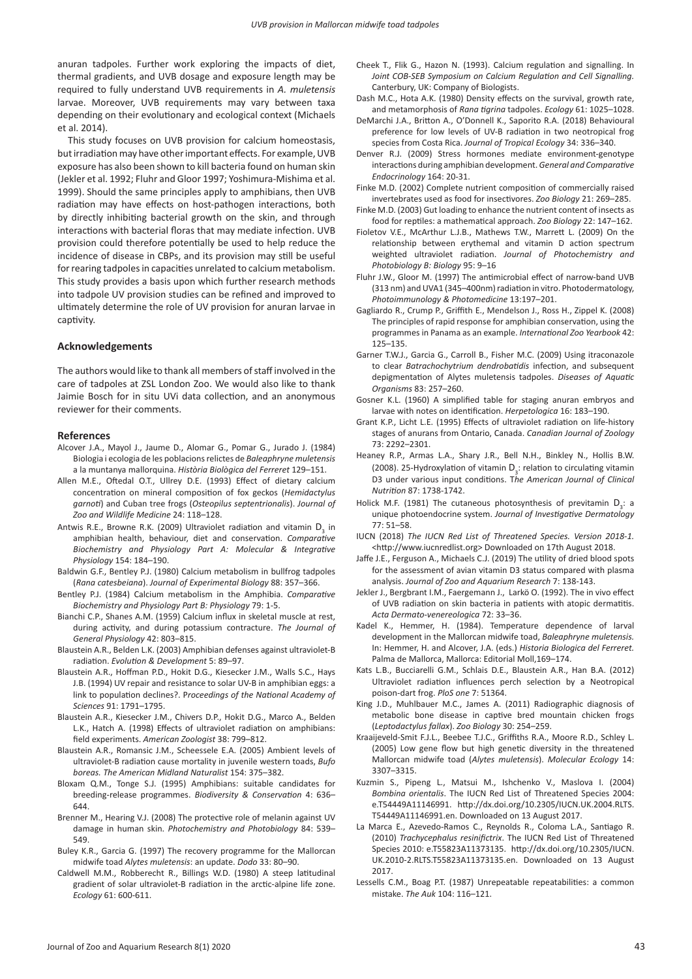anuran tadpoles. Further work exploring the impacts of diet, thermal gradients, and UVB dosage and exposure length may be required to fully understand UVB requirements in *A. muletensis*  larvae. Moreover, UVB requirements may vary between taxa depending on their evolutionary and ecological context (Michaels et al. 2014).

This study focuses on UVB provision for calcium homeostasis, but irradiation may have other important effects. For example, UVB exposure has also been shown to kill bacteria found on human skin (Jekler et al. 1992; Fluhr and Gloor 1997; Yoshimura-Mishima et al. 1999). Should the same principles apply to amphibians, then UVB radiation may have effects on host-pathogen interactions, both by directly inhibiting bacterial growth on the skin, and through interactions with bacterial floras that may mediate infection. UVB provision could therefore potentially be used to help reduce the incidence of disease in CBPs, and its provision may still be useful for rearing tadpoles in capacities unrelated to calcium metabolism. This study provides a basis upon which further research methods into tadpole UV provision studies can be refined and improved to ultimately determine the role of UV provision for anuran larvae in captivity.

### **Acknowledgements**

The authors would like to thank all members of staff involved in the care of tadpoles at ZSL London Zoo. We would also like to thank Jaimie Bosch for in situ UVi data collection, and an anonymous reviewer for their comments.

### **References**

- Alcover J.A., Mayol J., Jaume D., Alomar G., Pomar G., Jurado J. (1984) Biologia i ecologia de les poblacions relictes de *Baleaphryne muletensis*  a la muntanya mallorquina. *Història Biològica del Ferreret* 129–151.
- Allen M.E., Oftedal O.T., Ullrey D.E. (1993) Effect of dietary calcium concentration on mineral composition of fox geckos (*Hemidactylus garnoti*) and Cuban tree frogs (*Osteopilus septentrionalis*). *Journal of Zoo and Wildlife Medicine* 24: 118–128.
- Antwis R.E., Browne R.K. (2009) Ultraviolet radiation and vitamin  $D_3$  in amphibian health, behaviour, diet and conservation. *Comparative Biochemistry and Physiology Part A: Molecular & Integrative Physiology* 154: 184–190.
- Baldwin G.F., Bentley P.J. (1980) Calcium metabolism in bullfrog tadpoles (*Rana catesbeiana*). *Journal of Experimental Biology* 88: 357–366.
- Bentley P.J. (1984) Calcium metabolism in the Amphibia. *Comparative Biochemistry and Physiology Part B: Physiology* 79: 1-5.
- Bianchi C.P., Shanes A.M. (1959) Calcium influx in skeletal muscle at rest, during activity, and during potassium contracture. *The Journal of General Physiology* 42: 803–815.
- Blaustein A.R., Belden L.K. (2003) Amphibian defenses against ultraviolet‐B radiation. *Evolution & Development* 5: 89–97.
- Blaustein A.R., Hoffman P.D., Hokit D.G., Kiesecker J.M., Walls S.C., Hays J.B. (1994) UV repair and resistance to solar UV-B in amphibian eggs: a link to population declines?. P*roceedings of the National Academy of Sciences* 91: 1791–1795.
- Blaustein A.R., Kiesecker J.M., Chivers D.P., Hokit D.G., Marco A., Belden L.K., Hatch A. (1998) Effects of ultraviolet radiation on amphibians: field experiments. *American Zoologist* 38: 799–812.
- Blaustein A.R., Romansic J.M., Scheessele E.A. (2005) Ambient levels of ultraviolet-B radiation cause mortality in juvenile western toads, *Bufo boreas. The American Midland Naturalist* 154: 375–382.
- Bloxam Q.M., Tonge S.J. (1995) Amphibians: suitable candidates for breeding-release programmes. *Biodiversity & Conservation* 4: 636– 644.
- Brenner M., Hearing V.J. (2008) The protective role of melanin against UV damage in human skin. *Photochemistry and Photobiology* 84: 539– 549.
- Buley K.R., Garcia G. (1997) The recovery programme for the Mallorcan midwife toad *Alytes muletensis*: an update. *Dodo* 33: 80–90.
- Caldwell M.M., Robberecht R., Billings W.D. (1980) A steep latitudinal gradient of solar ultraviolet-B radiation in the arctic-alpine life zone. *Ecology* 61: 600-611.
- Cheek T., Flik G., Hazon N. (1993). Calcium regulation and signalling. In *Joint COB-SEB Symposium on Calcium Regulation and Cell Signalling.*  Canterbury, UK: Company of Biologists.
- Dash M.C., Hota A.K. (1980) Density effects on the survival, growth rate, and metamorphosis of *Rana tigrina* tadpoles. *Ecology* 61: 1025–1028.
- DeMarchi J.A., Britton A., O'Donnell K., Saporito R.A. (2018) Behavioural preference for low levels of UV-B radiation in two neotropical frog species from Costa Rica. *Journal of Tropical Ecology* 34: 336–340.
- Denver R.J. (2009) Stress hormones mediate environment-genotype interactions during amphibian development. *General and Comparative Endocrinology* 164: 20-31.
- Finke M.D. (2002) Complete nutrient composition of commercially raised invertebrates used as food for insectivores. *Zoo Biology* 21: 269–285.
- Finke M.D. (2003) Gut loading to enhance the nutrient content of insects as food for reptiles: a mathematical approach. *Zoo Biology* 22: 147–162.
- Fioletov V.E., McArthur L.J.B., Mathews T.W., Marrett L. (2009) On the relationship between erythemal and vitamin D action spectrum weighted ultraviolet radiation. *Journal of Photochemistry and Photobiology B: Biology* 95: 9–16
- Fluhr J.W., Gloor M. (1997) The antimicrobial effect of narrow-band UVB (313 nm) and UVA1 (345–400nm) radiation in vitro. Photodermatology, *Photoimmunology & Photomedicine* 13:197–201.
- Gagliardo R., Crump P., Griffith E., Mendelson J., Ross H., Zippel K. (2008) The principles of rapid response for amphibian conservation, using the programmes in Panama as an example. *International Zoo Yearbook* 42: 125–135.
- Garner T.W.J., Garcia G., Carroll B., Fisher M.C. (2009) Using itraconazole to clear *Batrachochytrium dendrobatidis* infection, and subsequent depigmentation of Alytes muletensis tadpoles. *Diseases of Aquatic Organisms* 83: 257–260.
- Gosner K.L. (1960) A simplified table for staging anuran embryos and larvae with notes on identification. *Herpetologica* 16: 183–190.
- Grant K.P., Licht L.E. (1995) Effects of ultraviolet radiation on life-history stages of anurans from Ontario, Canada. *Canadian Journal of Zoology*  73: 2292–2301.
- Heaney R.P., Armas L.A., Shary J.R., Bell N.H., Binkley N., Hollis B.W. (2008). 25-Hydroxylation of vitamin  $D_3$ : relation to circulating vitamin D3 under various input conditions. T*he American Journal of Clinical Nutrition* 87: 1738-1742.
- Holick M.F. (1981) The cutaneous photosynthesis of previtamin  $D_3$ : a unique photoendocrine system. *Journal of Investigative Dermatology*  77: 51–58.
- IUCN (2018) *The IUCN Red List of Threatened Species. Version 2018-1.* <http://www.iucnredlist.org> Downloaded on 17th August 2018.
- Jaffe J.E., Ferguson A., Michaels C.J. (2019) The utility of dried blood spots for the assessment of avian vitamin D3 status compared with plasma analysis. *Journal of Zoo and Aquarium Research* 7: 138-143.
- Jekler J., Bergbrant I.M., Faergemann J., Larkö O. (1992). The in vivo effect of UVB radiation on skin bacteria in patients with atopic dermatitis. *Acta Dermato-venereologica* 72: 33–36.
- Kadel K., Hemmer, H. (1984). Temperature dependence of larval development in the Mallorcan midwife toad, *Baleaphryne muletensis.* In: Hemmer, H. and Alcover, J.A. (eds.) *Historia Biologica del Ferreret.* Palma de Mallorca, Mallorca: Editorial Moll,169–174.
- Kats L.B., Bucciarelli G.M., Schlais D.E., Blaustein A.R., Han B.A. (2012) Ultraviolet radiation influences perch selection by a Neotropical poison-dart frog. *PloS one* 7: 51364.
- King J.D., Muhlbauer M.C., James A. (2011) Radiographic diagnosis of metabolic bone disease in captive bred mountain chicken frogs (*Leptodactylus fallax*). *Zoo Biology* 30: 254–259.
- Kraaijeveld‐Smit F.J.L., Beebee T.J.C., Griffiths R.A., Moore R.D., Schley L. (2005) Low gene flow but high genetic diversity in the threatened Mallorcan midwife toad (*Alytes muletensis*). *Molecular Ecology* 14: 3307–3315.
- Kuzmin S., Pipeng L., Matsui M., Ishchenko V., Maslova I. (2004) *Bombina orientalis*. The IUCN Red List of Threatened Species 2004: e.T54449A11146991. http://dx.doi.org/10.2305/IUCN.UK.2004.RLTS. T54449A11146991.en. Downloaded on 13 August 2017.
- La Marca E., Azevedo-Ramos C., Reynolds R., Coloma L.A., Santiago R. (2010) *Trachycephalus resinifictrix*. The IUCN Red List of Threatened Species 2010: e.T55823A11373135. http://dx.doi.org/10.2305/IUCN. UK.2010-2.RLTS.T55823A11373135.en. Downloaded on 13 August 2017.
- Lessells C.M., Boag P.T. (1987) Unrepeatable repeatabilities: a common mistake. *The Auk* 104: 116–121.